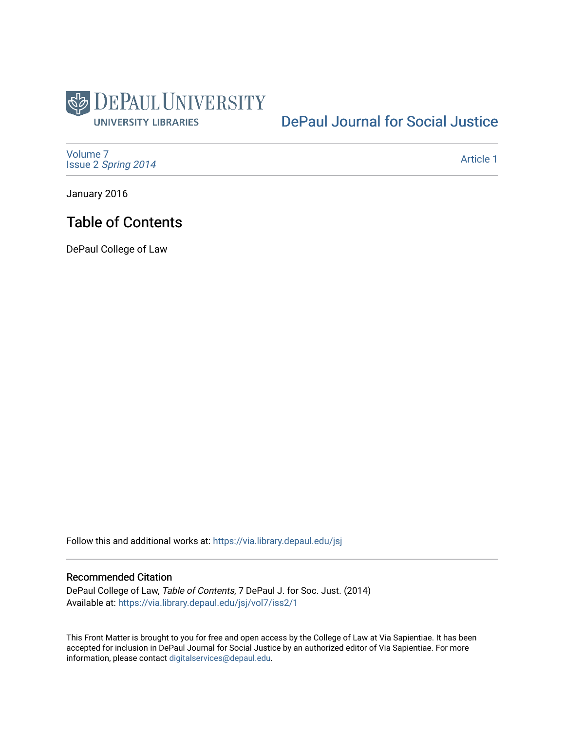

# [DePaul Journal for Social Justice](https://via.library.depaul.edu/jsj)

[Volume 7](https://via.library.depaul.edu/jsj/vol7) Issue 2 [Spring 2014](https://via.library.depaul.edu/jsj/vol7/iss2) 

[Article 1](https://via.library.depaul.edu/jsj/vol7/iss2/1) 

January 2016

# Table of Contents

DePaul College of Law

Follow this and additional works at: [https://via.library.depaul.edu/jsj](https://via.library.depaul.edu/jsj?utm_source=via.library.depaul.edu%2Fjsj%2Fvol7%2Fiss2%2F1&utm_medium=PDF&utm_campaign=PDFCoverPages) 

### Recommended Citation

DePaul College of Law, Table of Contents, 7 DePaul J. for Soc. Just. (2014) Available at: [https://via.library.depaul.edu/jsj/vol7/iss2/1](https://via.library.depaul.edu/jsj/vol7/iss2/1?utm_source=via.library.depaul.edu%2Fjsj%2Fvol7%2Fiss2%2F1&utm_medium=PDF&utm_campaign=PDFCoverPages)

This Front Matter is brought to you for free and open access by the College of Law at Via Sapientiae. It has been accepted for inclusion in DePaul Journal for Social Justice by an authorized editor of Via Sapientiae. For more information, please contact [digitalservices@depaul.edu](mailto:digitalservices@depaul.edu).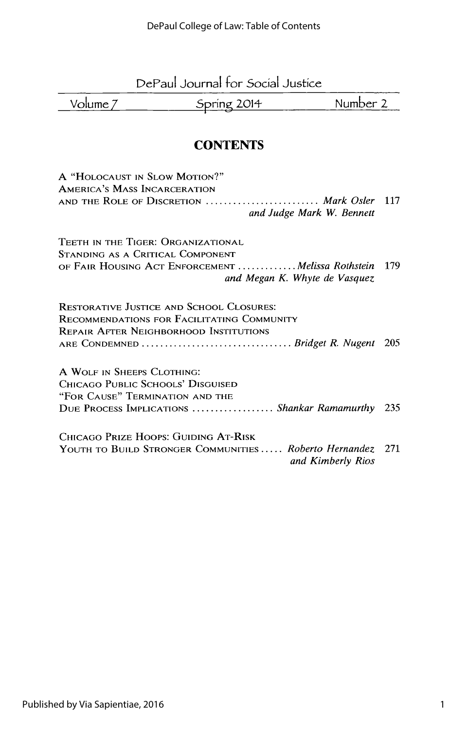DePaul Journal for Social Justice

Volume 7 Spring 2014 Number 2

## **CONTENTS**

| A "HOLOCAUST IN SLOW MOTION?"<br><b>AMERICA'S MASS INCARCERATION</b><br>AND THE ROLE OF DISCRETION  Mark Osler 117<br>and Judge Mark W. Bennett               |            |
|---------------------------------------------------------------------------------------------------------------------------------------------------------------|------------|
| TEETH IN THE TIGER: ORGANIZATIONAL<br>STANDING AS A CRITICAL COMPONENT<br>OF FAIR HOUSING ACT ENFORCEMENT  Melissa Rothstein<br>and Megan K. Whyte de Vasquez | 179        |
| RESTORATIVE JUSTICE AND SCHOOL CLOSURES:<br>RECOMMENDATIONS FOR FACILITATING COMMUNITY<br><b>REPAIR AFTER NEIGHBORHOOD INSTITUTIONS</b>                       | <b>205</b> |
| A WOLF IN SHEEPS CLOTHING:<br>CHICAGO PUBLIC SCHOOLS' DISGUISED<br>"For Cause" Termination and the<br>DUE PROCESS IMPLICATIONS  Shankar Ramamurthy            | 235        |
| CHICAGO PRIZE HOOPS: GUIDING AT-RISK<br>YOUTH TO BUILD STRONGER COMMUNITIES  Roberto Hernandez<br>and Kimberly Rios                                           | - 271      |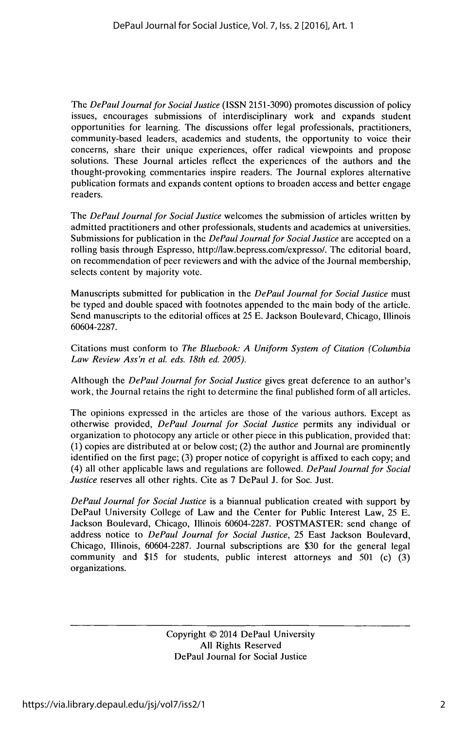The *DePaul Journal for Social Justice* **(ISSN 2151-3090)** promotes discussion of policy issues, encourages submissions of interdisciplinary work and expands student opportunities for learning. The discussions offer legal professionals, practitioners, community-based leaders, academics and students, the opportunity to voice their concerns, share their unique experiences, offer radical viewpoints and propose solutions. These Journal articles reflect the experiences of the authors and the thought-provoking commentaries inspire readers. The Journal explores alternative publication formats and expands content options to broaden access and better engage readers.

The *DePaul Journal for Social Justice* welcomes the submission of articles written **by** admitted practitioners and other professionals, students and academics at universities. Submissions for publication in the *DePaul Journal for Social Justice* are accepted on a rolling basis through Espresso, http://law.bepress.com/expresso/. The editorial board, on recommendation of peer reviewers and with the advice of the Journal membership, selects content **by** majority vote.

Manuscripts submitted for publication in the *DePaul Journal for Social Justice must* be typed and double spaced with footnotes appended to the main body of the article. Send manuscripts to the editorial offices at **25 E.** Jackson Boulevard, Chicago, Illinois **60604-2287.**

Citations must conform to *The Bluebook: A Uniform System of Citation (Columbia Law Review Ass'n et al. eds. 18th* ed. **2005).**

Although the *DePaul Journal for Social Justice* gives great deference to an author's work, the Journal retains the right to determine the final published form of all articles.

The opinions expressed in the articles are those of the various authors. Except as otherwise provided, *DePaul Journal for Social Justice* permits any individual or organization to photocopy any article or other piece in this publication, provided that: **(1)** copies are distributed at or below cost; (2) the author and Journal are prominently identified on the first page; **(3)** proper notice of copyright is affixed to each copy; and (4) all other applicable laws and regulations are followed. *DePaul Journal for Social Justice* reserves all other rights. Cite as **7** DePaul **J.** for Soc. Just.

*DePaul Journal for Social Justice* is a biannual publication created with support **by** DePaul University College of Law and the Center for Public Interest Law, **25 E.** Jackson Boulevard, Chicago, Illinois **60604-2287.** POSTMASTER: send change of address notice to *DePaul Journal for Social Justice,* **25** East Jackson Boulevard, Chicago, Illinois, **60604-2287.** Journal subscriptions are **\$30** for the general legal community and **\$15** for students, public interest attorneys and **501** (c) **(3)** organizations.

> Copyright **@** 2014 DePaul University **All** Rights Reserved DePaul Journal for Social Justice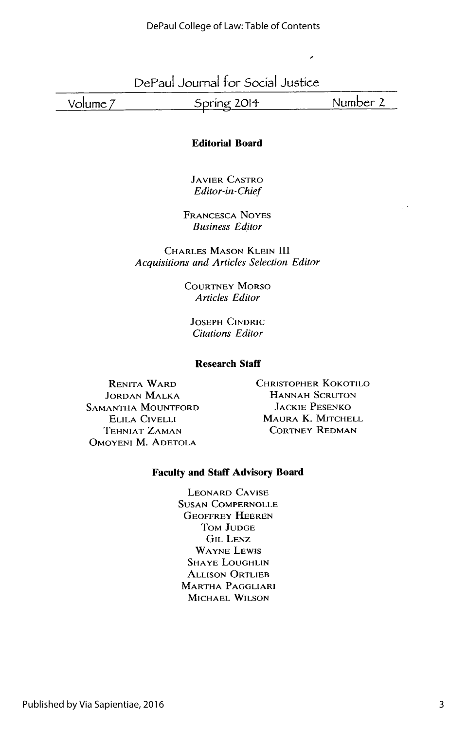DePaul Journal for Social Justice

Volume 7 **Spring 2014** Number 2

### **Editorial Board**

**JAVIER** CASTRO *Editor-in-Chief*

**FRANCESCA** NOYES *Business Editor*

CHARLES **MASON KLEIN III** *Acquisitions and Articles Selection Editor*

> **COURTNEY MORSO** *Articles Editor*

**JOSEPH CINDRIC** *Citations Editor*

### **Research Staff**

RENITA WARD **JORDAN** MALKA **SAMANTHA MOUNTFORD ELILA CIVELLI TEHNIAT ZAMAN** OMOYENI M. **ADETOLA**

CHRISTOPHER KOKOTILO **HANNAH SCRUTON JACKIE PESENKO MAURA K.** MITCHELL CORTNEY REDMAN

### **Faculty and Staff Advisory Board**

LEONARD **CAVISE SUSAN** COMPERNOLLE GEOFFREY **HEEREN Tom JUDGE GIL LENZ** WAYNE LEWIS **SHAYE LOUGHLIN ALLISON ORTLIEB MARTHA PAGGLIARI MICHAEL WILSON**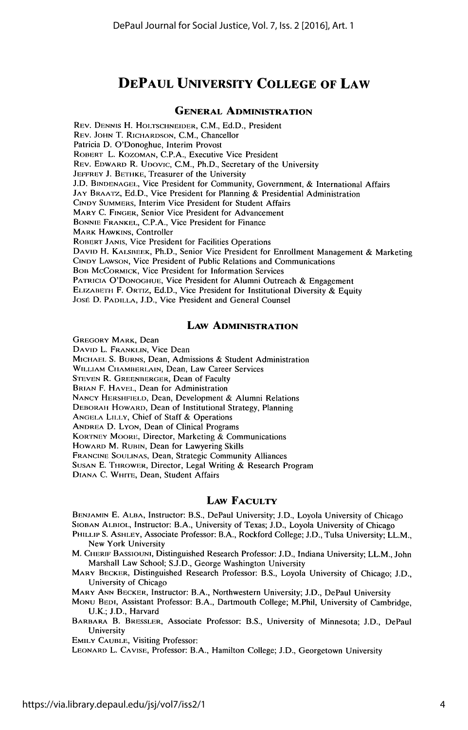## **DEPAUL UNIVERSITY COLLEGE OF LAW**

### **GENERAL ADMINISTRATION**

REv. DENNIS H. HoLrSCIINEIDER, **C.M., Ed.D.,** President **REV. JOHN** T. RICHARDSON, **C.M.,** Chancellor Patricia **D.** O'Donoghue, Interim Provost RonERr L. **KoZOMAN, C.P.A.,** Executive Vice President REV. EDWARD R. UDOVIC, C.M., Ph.D., Secretary of the University **JEFFREY J. BETIIKE,** Treasurer of the University **J.D. BINDENAGEL,** Vice President for Community, Government, **&** International Affairs **JAY BRAATZ, Ed.D., Vice President for Planning & Presidential Administration** CINDY **SUMMERS,** Interim Vice President for Student Affairs MARY **C.** FINGER, Senior Vice President for Advancement BONNIE FRANKEL, **C.P.A.,** Vice President for Finance MARK HAWKINS, Controller RonERT **JANIS,** Vice President for Facilities Operations DAVID H. KALSIEEK, Ph.D., Senior Vice President for Enrollment Management **&** Marketing **CINDY** LAWSON, Vice President of Public Relations and Communications Bon MCCORMICK, Vice President for Information Services PATRICIA **O'DONOGHUF,** Vice President for Alumni Outreach **&** Engagement ELIZAIIEIi F. ORTIz, **Ed.D.,** Vice President for Institutional Diversity **&** Equity Jost **D.** PADILLA, **J.D.,** Vice President and General Counsel

### **LAw ADMINISTRATION**

**GREGORY MARK,** Dean

DAVID L. FRANKLIN, Vice Dean

**MICIIAFL S. BURNS,** Dean, Admissions **&** Student Administration

**WILLIAM CHAMBERLAIN,** Dean, Law Career Services

**STEVEN R. GREENBERGER, Dean of Faculty** 

**BRIAN F. HAVEL, Dean for Administration** 

NANCY HERSHFIEILD, Dean, Development **&** Alumni Relations

DEBORAll HOWARD, Dean of Institutional Strategy, Planning

**ANGELA** LILLY, Chief of Staff **&** Operations

**ANIDRIEA D. LYON,** Dean of Clinical Programs

**KORTNEY MOORE,** Director, Marketing **&** Communications

HOWARD M. RUBIN, Dean for Lawyering Skills

**FRANCINE SOULINAS,** Dean, Strategic Community Alliances

**SUSAN E. TIlROWER,** Director, Legal Writing **&** Research Program

**DIANA C.** WHITE, Dean, Student Affairs

### **LAW FACULTY**

**BENJAMIN E. ALsA,** Instructor: B.S., DePaul University; **J.D.,** Loyola University of Chicago **SIOBAN** AUSIOL, Instructor: B.A., University of Texas; **J.D.,** Loyola University of Chicago

PHILLIP S. ASHLEY, Associate Professor: B.A., Rockford College; J.D., Tulsa University; LL.M., New York University

M. **CIIIERIF BASSIOUNI,** Distinguished Research Professor: **J.D.,** Indiana University; LL.M., John Marshall Law School; **S.J.D.,** George Washington University

**MARY BECKER,** Distinguished Research Professor: B.S., Loyola University of Chicago; **J.D.,** University of Chicago

**MARY ANN BECKER,** Instructor: B.A., Northwestern University; **J.D.,** DePaul University

MONU BEDI, Assistant Professor: B.A., Dartmouth College; M.Phil, University of Cambridge, **U.K.; J.D.,** Harvard

**BAR13ARA** B. BRESSLER, Associate Professor: B.S., University of Minnesota; **LD.,** DePaul University

**EMILY CAUBLE,** Visiting Professor:

**LIEONARD** L. CAVISE, Professor: B.A., Hamilton College; **J.D.,** Georgetown University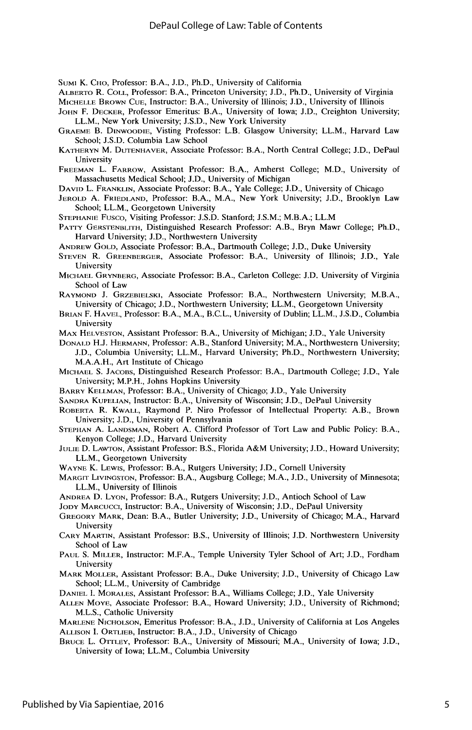**Sumi** K. CHO, Professor: B.A., **J.D.,** Ph.D., University of California

ALBERTO R. **COLL,** Professor: B.A., Princeton University; **J.D.,** Ph.D., University of Virginia

MICHELLE BROWN **CUE,** Instructor: B.A., University of Illinois; **J.D.,** University of Illinois

**JOHN** F. DECKER, Professor Emeritus: B.A., University of Iowa; **J.D.,** Creighton University; LL.M., New York University; **J.S.D.,** New York University

- GRAEME B. **DINWOODIE,** Visting Professor: L.B. Glasgow University; LL.M., Harvard Law School; **J.S.D.** Columbia Law School
- KATHERYN M. **DUTENHAVER,** Associate Professor: B.A., North Central College; **J.D.,** DePaul University
- **FREEMAN** L. FARROW, Assistant Professor: B.A., Amherst College; M.D., University of Massachusetts Medical School; **J.D.,** University of Michigan

**DAVID** L. FRANKLIN, Associate Professor: B.A., Yale College; **J.D.,** University of Chicago

JEROLD A. FRIEDLAND, Professor: B.A., M.A., New York University; J.D., Brooklyn Law School; LL.M., Georgetown University

**STEPHANIE** Fusco, Visiting Professor: **J.S.D.** Stanford; **J.S.M.;** M.B.A.; LL.M

- PATTY GERSTENBLIYIH, Distinguished Research Professor: A.B., Bryn Mawr College; Ph.D., Harvard University; **J.D.,** Northwestern University
- ANDREW Gotro, Associate Professor: B.A., Dartmouth College; **J.D.,** Duke University
- **STEVEN** R. GREENBERGER, Associate Professor: B.A., University of Illinois; **J.D.,** Yale University
- **MICHAEL** GRYNBERG, Associate Professor: B.A., Carleton College: **J.D.** University of Virginia School of Law
- RAYMOND **J.** GRZEBIELSKI, Associate Professor: B.A., Northwestern University; M.B.A., University of Chicago; **J.D.,** Northwestern University; LL.M., Georgetown University
- BRIAN F. HAVEL, Professor: B.A., M.A., B.C.L., University of Dublin; LL.M., **J.S.D.,** Columbia University
- MAX HELVESTON, Assistant Professor: B.A., University of Michigan; **J.D.,** Yale University
- DONALD **H.J. HERMANN,** Professor: A.B., Stanford University; M.A., Northwestern University; **J.D.,** Columbia University; LL.M., Harvard University; Ph.D., Northwestern University; **M.A.A.H.,** Art Institute of Chicago
- MICHAEL **S. JACOBS,** Distinguished Research Professor: B.A., Dartmouth College; **J.D.,** Yale University; M.P.H., Johns Hopkins University

BARRY **KELLMAN,** Professor: B.A., University of Chicago; **J.D.,** Yale University

- **SANDRA** KUPELIAN, Instructor: B.A., University of Wisconsin; **J.D.,** DePaul University
- ROBERTA R. KWALL, Raymond P. Niro Professor of Intellectual Property: A.B., Brown University; **J.D.,** University of Pennsylvania
- **STEPHAN A. LANDSMAN,** Robert **A.** Clifford Professor of Tort Law and Public Policy: B.A., Kenyon College; **J.D.,** Harvard University
- **JULIE D.** LAWTON, Assistant Professor: B.S., Florida A&M University; **J.D.,** Howard University; LL.M., Georgetown University

WAYNE K. LEWIS, Professor: B.A., Rutgers University; **J.D.,** Cornell University

- MARGIT **LIVINGSTON,** Professor: B.A., Augsburg College; M.A., **J.D.,** University of Minnesota; LL.M., University of Illinois
- **ANDREA D.** LYON, Professor: B.A., Rutgers University; **J.D.,** Antioch School of Law

**JODY** MARCUCCI, Instructor: B.A., University of Wisconsin; **J.D.,** DePaul University

- GREGORY MARK, Dean: B.A., Butler University; **J.D.,** University of Chicago; M.A., Harvard University
- CARY MARTIN, Assistant Professor: B.S., University of Illinois; **J.D.** Northwestern University School of Law
- **PAUL S.** MILLER, Instructor: M.F.A., Temple University Tyler School of Art; **J.D.,** Fordham University
- MARK MOLLER, Assistant Professor: B.A., Duke University; **J.D.,** University of Chicago Law School; LL.M., University of Cambridge

**DANIEL 1.** MORALES, Assistant Professor: B.A., Williams College; **J.D.,** Yale University

**ALLEN** MoYE, Associate Professor: B.A., Howard University; **J.D.,** University of Richmond; **M.L.S.,** Catholic University

MARLENE NICHOLSON, Emeritus Professor: B.A., **J.D.,** University of California at Los Angeles ALLISON **I.** ORTLIEB, Instructor: B.A., **J.D.,** University of Chicago

BRUCE L. OrrLEY, Professor: B.A., University of Missouri; M.A., University of Iowa; **J.D.,** University of Iowa; LL.M., Columbia University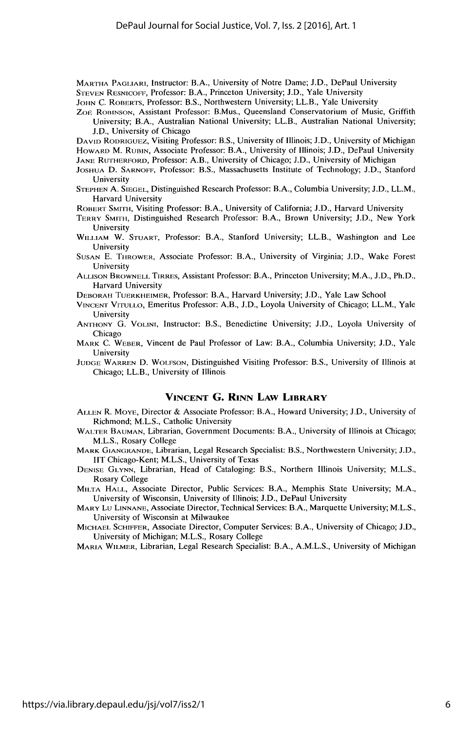**MARTHA PAGLIARI,** Instructor: B.A., University of Notre Dame; **J.D.,** DePaul University **STEVEN RESNICOFF,** Professor: B.A., Princeton University; **J.D.,** Yale University

JOHN C. ROBERTS, Professor: B.S., Northwestern University; LL.B., Yale University

ZOF, ROBINSON, Assistant Professor: B.Mus., Queensland Conservatorium of Music, Griffith University; B.A., Australian National University; LL.B., Australian National University; **J.D.,** University of Chicago

DAVID RODRIGUEZ, Visiting Professor: B.S., University of Illinois; **J.D.,** University of Michigan HoWARD M. RUBIN, Associate Professor: B.A., University of Illinois; **J.D.,** DePaul University

**JANE** RUTiERFORD, Professor: A.B., University of Chicago; **J.D.,** University of Michigan

- **JOSHUA D. SARNOFF,** Professor: B.S., Massachusetts Institute of Technology; **J.D.,** Stanford University
- **STEPHEN A. SIEGEL,** Distinguished Research Professor: B.A., Columbia University; **J.D.,** LL.M., Harvard University
- RoBERr SMITH, Visiting Professor: B.A., University of California; **J.D.,** Harvard University
- TERRY SMIT, Distinguished Research Professor: B.A., Brown University; **J.D.,** New York University
- WILLIAM W. **STUART,** Professor: B.A., Stanford University; LL.B., Washington and Lee **University**
- **SUSAN E.** THRowER, Associate Professor: B.A., University of Virginia; **J.D.,** Wake Forest University
- **ALLISON** BROWNELL TIRRES, Assistant Professor: B.A., Princeton University; M.A., **J.D.,** Ph.D., Harvard University
- **DIBORAH** TUERKHEIMER, Professor: B.A., Harvard University; **J.D.,** Yale Law School
- **VINCENT** VITULLO, Emeritus Professor: A.B., **J.D.,** Loyola University of Chicago; LL.M., Yale University
- **ANTHONY G. VOLINI,** Instructor: B.S., Benedictine University; **J.D.,** Loyola University of Chicago
- MARK **C.** WEBER, Vincent de Paul Professor of Law: B.A., Columbia University; **J.D.,** Yale University
- **JUDGE** WARREN **D. WoLFSON,** Distinguished Visiting Professor: B.S., University of Illinois at Chicago; LL.B., University of Illinois

#### **VINCENT G. RINN LAW LIBRARY**

- **ALLEN** R. MOYE, Director **&** Associate Professor: B.A., Howard University; **J.D.,** University of Richmond; **M.L.S.,** Catholic University
- WALTER **BAUMAN,** Librarian, Government Documents: B.A., University of Illinois at Chicago; **M.L.S.,** Rosary College
- MARK **GIANGRANDE,** Librarian, Legal Research Specialist: B.S., Northwestern University; **J.D.,** IIT Chicago-Kent; **M.L.S.,** University of Texas
- DENISE GLYNN, Librarian, Head of Cataloging: B.S., Northern Illinois University; M.L.S., Rosary College
- MILTA HALL, Associate Director, Public Services: B.A., Memphis State University; M.A., University of Wisconsin, University of Illinois; **J.D.,** DePaul University
- MARY Lu **LINNANB,** Associate Director, Technical Services: B.A., Marquette University; **M.L.S.,** University of Wisconsin at Milwaukee
- **MICHAEL** SCHIFFER, Associate Director, Computer Services: B.A., University of Chicago; **J.D.,** University of Michigan; **M.L.S.,** Rosary College
- MARIA WILMER, Librarian, Legal Research Specialist: B.A., **A.M.L.S.,** University of Michigan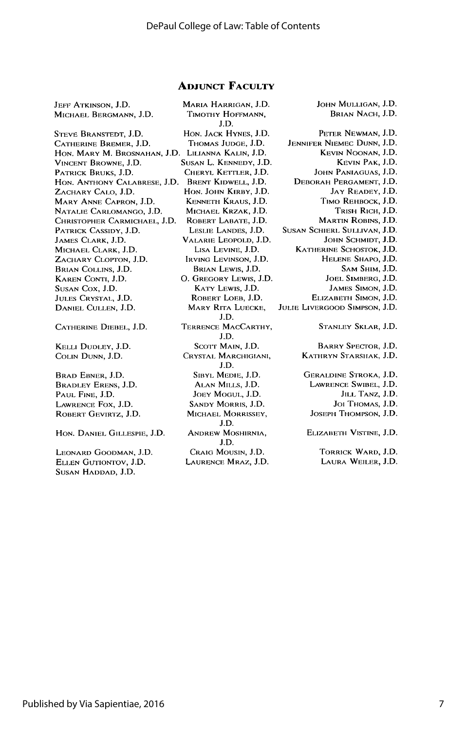#### **ADJUNCT FACULTY**

**MICHAEL BERGMANN, J.D. STEVE** BRANSTEDT, **J.D. HON. JACK** HYNES, **J.D.**  $C$ ATHERINE BREMER, **J.D.** HON. MARY M. BROSNAHAN, J.D. LILIANNA KALIN, J.D. **VINCENT BROWNE, J.D. SUSAN L. KENNEDY, J.D. PATRICK BRUKS, J.D. CHERYL KETTLER, J.D.** PATRICK BRUKS, **J.D. HON.** ANTHONY **CALABRESE, J.D.** BRENT KiDWELI, **J.D. ZACHARY CALO, J.D. HON. JOHN KIRBY, J.D.**<br>**MARY ANNE CAPRON, J.D. <b>KENNETH KRAUS, J.D. MARY ANNE CAPRON, J.D. NATALIE** CARLOMANGO, **J.D.** MICHAEL KRZAK, **ID.** CHRISTOPHER CARMICHAEL, **J.D.** ROBERT **LABATF, J.D.** PATRICK CASSIDY, **J.D.**<br>James Clark, J.D. **MICHAEL CLARK, J.D.** LISA LEVINE, J.D.<br>**Z**achary Clopton, J.D. **IRVING LEVINSON, J.D. Z**ACHARY CLOPTON, J.D. **IRVING LEVINSON, J.J.**<br>BRIAN COLLINS. J.D. **BRIAN LEWIS, J.D.** Brian Collins, **J.D.**<br>Karen Conti. J.D. **SUSAN** Cox, **J.D.** KATY LEWIS, **ID. JULES CRYSTAL, J.D. ROBERT LOEB, J.D. ROBERT LOEB, J.D. MARY RITA LUECKE. DANIEL CULLEN, J.D.** 

CATHERINE DIEBEL, **J.D.** 

KELLI DUDLEY, **J.D.** COLIN **DUNN, J.D.**

BRAD **EBNER, J.D.** BRADLEY ERENs, **J.D.** PAUL **FINE, J.D.** LAWRENCE Fox, **J.D.** ROBERT GEVIRTZ, **J.D.**

**HON.** DANIEL **GILLESPIE, J.D.**

**LEONARD GooDMAN, J.D. ELLEN GUTIONTOV, J.D. SUSAN** HADDAD, **J.D.**

JEFF **ATKINSON, J.D.** MARIA HARRIGAN, **J.D. J.D.**<br>Hon. Jack Hynes, J.D. **JAMES** CLARK, **J.D.** VALARII- LEOPOLD, **J.D. O. GREGORY LEWIS, J.D. KATY LEWIS, J.D. J.D.** TERRENCE MACCARTHY, **J.D.** Scorr **MAIN, J.D. CRYSTAL MARCHIGIANI, J.D.** SIBYL MEDIE, **J.D. ALAN** MILLS, **J.D. JoEY MOGUL, J.D. SANDY** MORRIS, **J.D. MICHAEL** MORRISSE'Y, **J.D.** ANDREW **MOSHIRNIA, J.D.** CRAIG **MOUSIN, J.D. LAURENCE** MRAz, **J.D.**

**JoHN** MULLIGAN, **J.D.** BRIAN **NACH, J.D.** PETER **NEWMAN, J.D. JENNIFER** NIEMEc **DUNN, J.D.** KievIN **NOONAN, J.D.** KEVIN PAK, **J.D. JoHN PANIAGUAS, J.D. DEBORAH** PERGAMENT, **J.D. JAY** READEY, **J.D.** Two REHBOCK, **J.D.** TRISIi RICH, **J.D.** MARTIN ROBINS, **J.D. SUSAN** SCHIERL SULLIVAN, **J.D. JoHN** SCHMIDT, **J.D. KATHERINE SCHOSTOK, J.D.** HELENE SHAPO, **J.D. SAM SHIM, J.D.** JOEL SIMBERG, **J.D.** JAMES SIMON, **J.D.** ELIZABETH **SIMON, J.D.** Jul LI- VERGOOD **SIMPSON, J.D. STANLEY** SKLAR, **J.D.** BARRY SPECTOR, **J.D.** KATHRYN STARSHAK, **J.D.** GERALDINE STROKA, **J.D.** LAWRENCE SWIBEL, **J.D.** JILL **TANZ, J.D.** JOI THOMAS, **J.D.** JoSEPii **THOMPSON, J.D.** ELIZABETII VISTINE, **J.D.** TORRICK WARD, **J.D.**

**LAURA** WEILER, **J.D.**

Published by Via Sapientiae, 2016